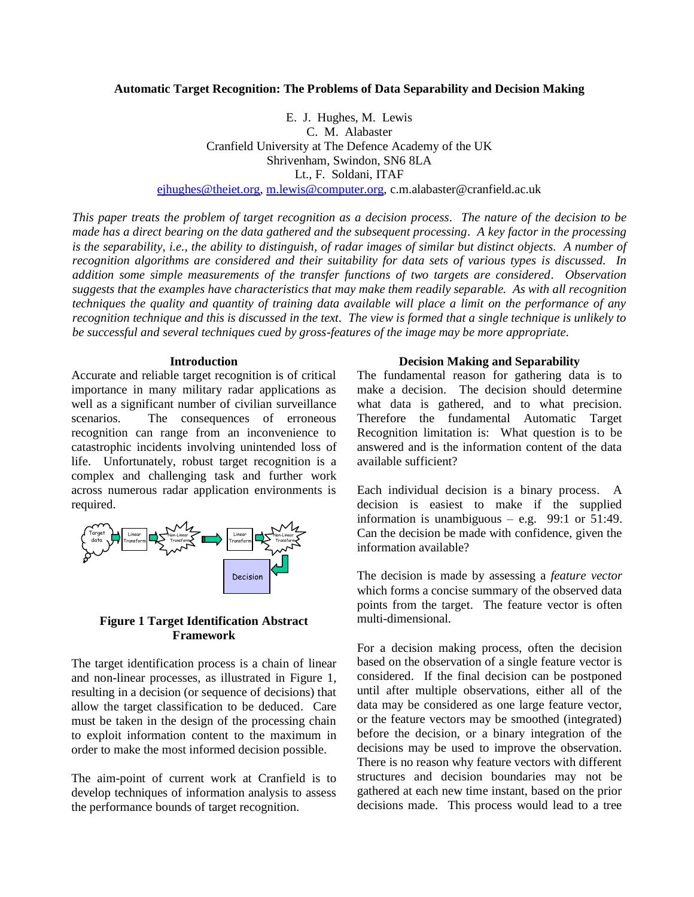### **Automatic Target Recognition: The Problems of Data Separability and Decision Making**

E. J. Hughes, M. Lewis C. M. Alabaster Cranfield University at The Defence Academy of the UK Shrivenham, Swindon, SN6 8LA Lt., F. Soldani, ITAF

[ejhughes@theiet.org,](mailto:ejhughes@theiet.org) [m.lewis@computer.org,](mailto:m.lewis@computer.org) c.m.alabaster@cranfield.ac.uk

*This paper treats the problem of target recognition as a decision process. The nature of the decision to be made has a direct bearing on the data gathered and the subsequent processing. A key factor in the processing is the separability, i.e., the ability to distinguish, of radar images of similar but distinct objects. A number of recognition algorithms are considered and their suitability for data sets of various types is discussed. In addition some simple measurements of the transfer functions of two targets are considered. Observation suggests that the examples have characteristics that may make them readily separable. As with all recognition techniques the quality and quantity of training data available will place a limit on the performance of any recognition technique and this is discussed in the text. The view is formed that a single technique is unlikely to be successful and several techniques cued by gross-features of the image may be more appropriate.* 

### **Introduction**

Accurate and reliable target recognition is of critical importance in many military radar applications as well as a significant number of civilian surveillance scenarios. The consequences of erroneous recognition can range from an inconvenience to catastrophic incidents involving unintended loss of life. Unfortunately, robust target recognition is a complex and challenging task and further work across numerous radar application environments is required.



## <span id="page-0-0"></span>**Figure 1 Target Identification Abstract Framework**

The target identification process is a chain of linear and non-linear processes, as illustrated in [Figure 1,](#page-0-0) resulting in a decision (or sequence of decisions) that allow the target classification to be deduced. Care must be taken in the design of the processing chain to exploit information content to the maximum in order to make the most informed decision possible.

The aim-point of current work at Cranfield is to develop techniques of information analysis to assess the performance bounds of target recognition.

### **Decision Making and Separability**

The fundamental reason for gathering data is to make a decision. The decision should determine what data is gathered, and to what precision. Therefore the fundamental Automatic Target Recognition limitation is: What question is to be answered and is the information content of the data available sufficient?

Each individual decision is a binary process. A decision is easiest to make if the supplied information is unambiguous – e.g. 99:1 or  $51:49$ . Can the decision be made with confidence, given the information available?

The decision is made by assessing a *feature vector* which forms a concise summary of the observed data points from the target. The feature vector is often multi-dimensional.

For a decision making process, often the decision based on the observation of a single feature vector is considered. If the final decision can be postponed until after multiple observations, either all of the data may be considered as one large feature vector, or the feature vectors may be smoothed (integrated) before the decision, or a binary integration of the decisions may be used to improve the observation. There is no reason why feature vectors with different structures and decision boundaries may not be gathered at each new time instant, based on the prior decisions made. This process would lead to a tree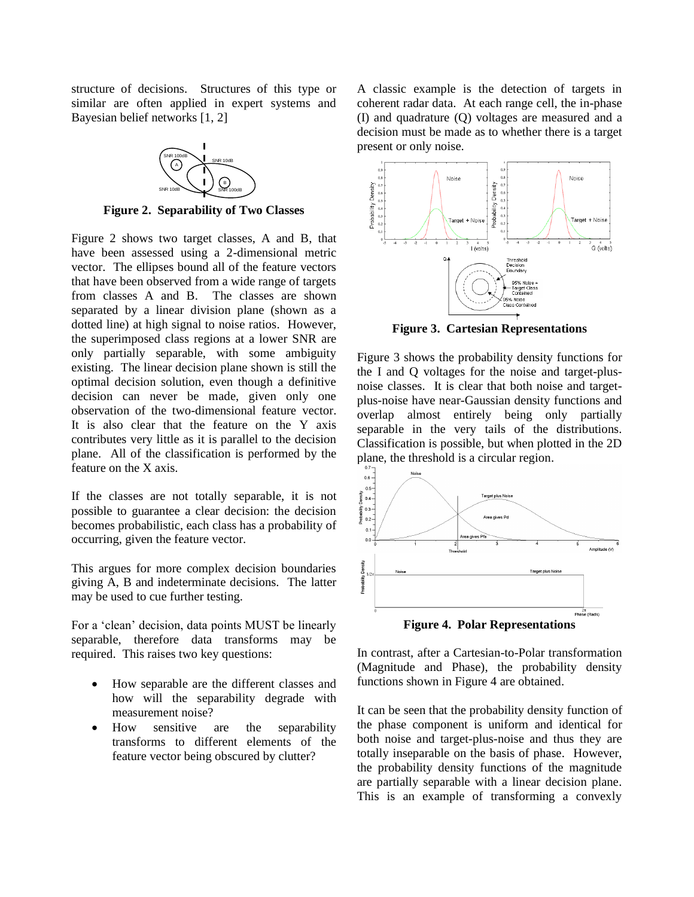structure of decisions. Structures of this type or similar are often applied in expert systems and Bayesian belief networks [\[1,](#page-6-0) [2\]](#page-6-1)



**Figure 2. Separability of Two Classes** 

<span id="page-1-0"></span>[Figure 2](#page-1-0) shows two target classes, A and B, that have been assessed using a 2-dimensional metric vector. The ellipses bound all of the feature vectors that have been observed from a wide range of targets from classes A and B. The classes are shown separated by a linear division plane (shown as a dotted line) at high signal to noise ratios. However, the superimposed class regions at a lower SNR are only partially separable, with some ambiguity existing. The linear decision plane shown is still the optimal decision solution, even though a definitive decision can never be made, given only one observation of the two-dimensional feature vector. It is also clear that the feature on the Y axis contributes very little as it is parallel to the decision plane. All of the classification is performed by the feature on the X axis.

If the classes are not totally separable, it is not possible to guarantee a clear decision: the decision becomes probabilistic, each class has a probability of occurring, given the feature vector.

This argues for more complex decision boundaries giving A, B and indeterminate decisions. The latter may be used to cue further testing.

For a 'clean' decision, data points MUST be linearly separable, therefore data transforms may be required. This raises two key questions:

- How separable are the different classes and how will the separability degrade with measurement noise?
- How sensitive are the separability transforms to different elements of the feature vector being obscured by clutter?

A classic example is the detection of targets in coherent radar data. At each range cell, the in-phase (I) and quadrature (Q) voltages are measured and a decision must be made as to whether there is a target present or only noise.



**Figure 3. Cartesian Representations**

<span id="page-1-1"></span>[Figure 3](#page-1-1) shows the probability density functions for the I and Q voltages for the noise and target-plusnoise classes. It is clear that both noise and targetplus-noise have near-Gaussian density functions and overlap almost entirely being only partially separable in the very tails of the distributions. Classification is possible, but when plotted in the 2D plane, the threshold is a circular region.



**Figure 4. Polar Representations**

<span id="page-1-2"></span>In contrast, after a Cartesian-to-Polar transformation (Magnitude and Phase), the probability density functions shown in [Figure 4](#page-1-2) are obtained.

It can be seen that the probability density function of the phase component is uniform and identical for both noise and target-plus-noise and thus they are totally inseparable on the basis of phase. However, the probability density functions of the magnitude are partially separable with a linear decision plane. This is an example of transforming a convexly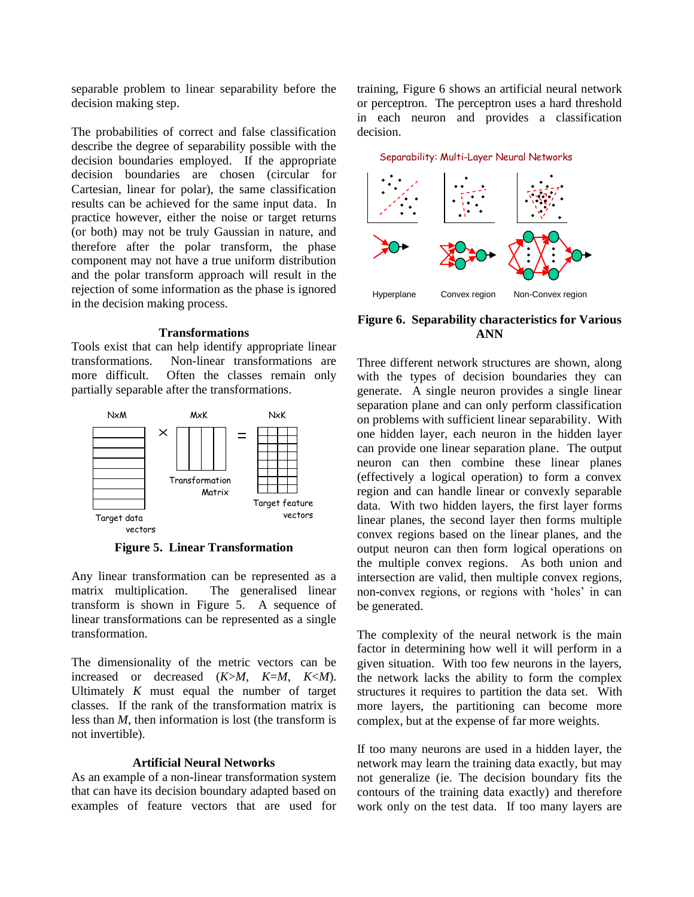separable problem to linear separability before the decision making step.

The probabilities of correct and false classification describe the degree of separability possible with the decision boundaries employed. If the appropriate decision boundaries are chosen (circular for Cartesian, linear for polar), the same classification results can be achieved for the same input data. In practice however, either the noise or target returns (or both) may not be truly Gaussian in nature, and therefore after the polar transform, the phase component may not have a true uniform distribution and the polar transform approach will result in the rejection of some information as the phase is ignored in the decision making process.

#### **Transformations**

Tools exist that can help identify appropriate linear transformations. Non-linear transformations are more difficult. Often the classes remain only partially separable after the transformations.



**Figure 5. Linear Transformation**

<span id="page-2-0"></span>Any linear transformation can be represented as a matrix multiplication. The generalised linear transform is shown in [Figure 5.](#page-2-0) A sequence of linear transformations can be represented as a single transformation.

The dimensionality of the metric vectors can be increased or decreased (*K*>*M*, *K*=*M*, *K*<*M*). Ultimately *K* must equal the number of target classes. If the rank of the transformation matrix is less than *M*, then information is lost (the transform is not invertible).

#### **Artificial Neural Networks**

As an example of a non-linear transformation system that can have its decision boundary adapted based on examples of feature vectors that are used for

training, [Figure 6](#page-2-1) shows an artificial neural network or perceptron. The perceptron uses a hard threshold in each neuron and provides a classification decision.



## <span id="page-2-1"></span>**Figure 6. Separability characteristics for Various ANN**

Three different network structures are shown, along with the types of decision boundaries they can generate. A single neuron provides a single linear separation plane and can only perform classification on problems with sufficient linear separability. With one hidden layer, each neuron in the hidden layer can provide one linear separation plane. The output neuron can then combine these linear planes (effectively a logical operation) to form a convex region and can handle linear or convexly separable data. With two hidden layers, the first layer forms linear planes, the second layer then forms multiple convex regions based on the linear planes, and the output neuron can then form logical operations on the multiple convex regions. As both union and intersection are valid, then multiple convex regions, non-convex regions, or regions with 'holes' in can be generated.

The complexity of the neural network is the main factor in determining how well it will perform in a given situation. With too few neurons in the layers, the network lacks the ability to form the complex structures it requires to partition the data set. With more layers, the partitioning can become more complex, but at the expense of far more weights.

If too many neurons are used in a hidden layer, the network may learn the training data exactly, but may not generalize (ie. The decision boundary fits the contours of the training data exactly) and therefore work only on the test data. If too many layers are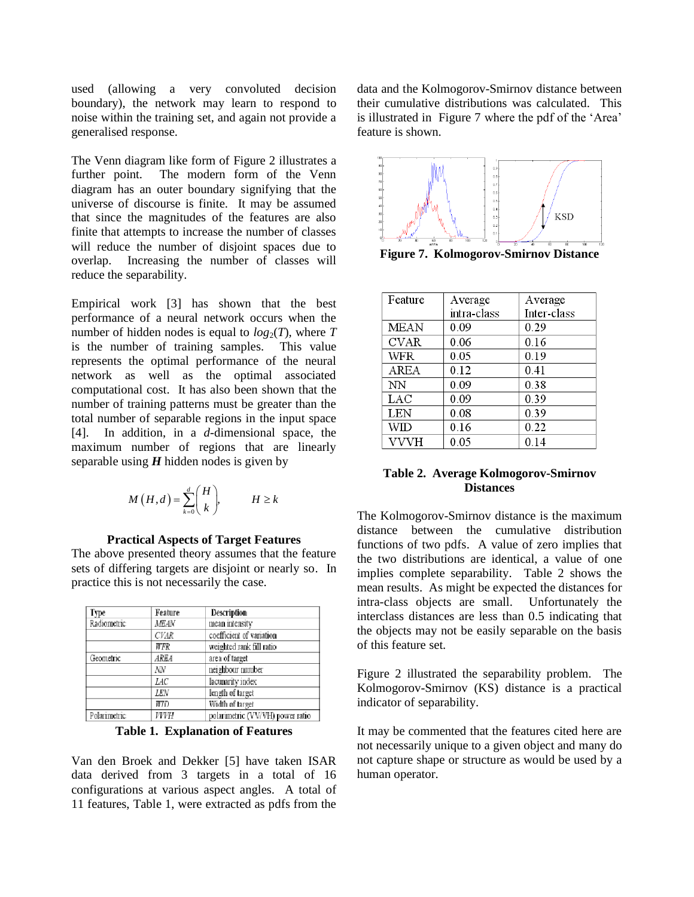used (allowing a very convoluted decision boundary), the network may learn to respond to noise within the training set, and again not provide a generalised response.

The Venn diagram like form of [Figure 2](#page-1-0) illustrates a further point. The modern form of the Venn diagram has an outer boundary signifying that the universe of discourse is finite. It may be assumed that since the magnitudes of the features are also finite that attempts to increase the number of classes will reduce the number of disjoint spaces due to overlap. Increasing the number of classes will reduce the separability.

Empirical work [\[3\]](#page-6-2) has shown that the best performance of a neural network occurs when the number of hidden nodes is equal to  $log_2(T)$ , where T is the number of training samples. This value represents the optimal performance of the neural network as well as the optimal associated computational cost. It has also been shown that the number of training patterns must be greater than the total number of separable regions in the input space [\[4\]](#page-6-3). In addition, in a *d*-dimensional space, the maximum number of regions that are linearly separable using *H* hidden nodes is given by

$$
M(H,d) = \sum_{k=0}^{d} {H \choose k}, \qquad H \ge k
$$

### **Practical Aspects of Target Features**

The above presented theory assumes that the feature sets of differing targets are disjoint or nearly so. In practice this is not necessarily the case.

| Type         | Feature     | Description                      |
|--------------|-------------|----------------------------------|
| Radiometric  | MEAN        | mean intensity                   |
|              | <b>CVAR</b> | coefficient of variation         |
|              | WFR         | weighted rank fill ratio         |
| Geometric    | AREA        | area of target                   |
|              | NΝ          | neighbour number                 |
|              | LAC         | lacunarity index                 |
|              | LEN         | length of target                 |
|              | WID.        | Width of target                  |
| Polarimetric | VVYH        | polarimetric (VV/VH) power ratio |

**Table 1. Explanation of Features**

<span id="page-3-0"></span>Van den Broek and Dekker [\[5\]](#page-6-4) have taken ISAR data derived from 3 targets in a total of 16 configurations at various aspect angles. A total of 11 features, [Table 1,](#page-3-0) were extracted as pdfs from the

data and the Kolmogorov-Smirnov distance between their cumulative distributions was calculated. This is illustrated in [Figure](#page-3-1) 7 where the pdf of the 'Area' feature is shown.

<span id="page-3-1"></span>

**Figure 7. Kolmogorov-Smirnov Distance**

| Feature     | Average     | Average     |
|-------------|-------------|-------------|
|             | intra-class | Inter-class |
| <b>MEAN</b> | 0.09        | 0.29        |
| CVAR        | 0.06        | 0.16        |
| WFR         | 0.05        | 0.19        |
| <b>AREA</b> | 0.12        | 0.41        |
| NN          | 0.09        | 0.38        |
| LAC         | 0.09        | 0.39        |
| LEN         | 0.08        | 0.39        |
| WID         | 0.16        | 0.22        |
| VVVH        | 0.05        | 0.14        |

## <span id="page-3-2"></span>**Table 2. Average Kolmogorov-Smirnov Distances**

The Kolmogorov-Smirnov distance is the maximum distance between the cumulative distribution functions of two pdfs. A value of zero implies that the two distributions are identical, a value of one implies complete separability. [Table 2](#page-3-2) shows the mean results. As might be expected the distances for intra-class objects are small. Unfortunately the interclass distances are less than 0.5 indicating that the objects may not be easily separable on the basis of this feature set.

[Figure 2](#page-1-0) illustrated the separability problem. The Kolmogorov-Smirnov (KS) distance is a practical indicator of separability.

It may be commented that the features cited here are not necessarily unique to a given object and many do not capture shape or structure as would be used by a human operator.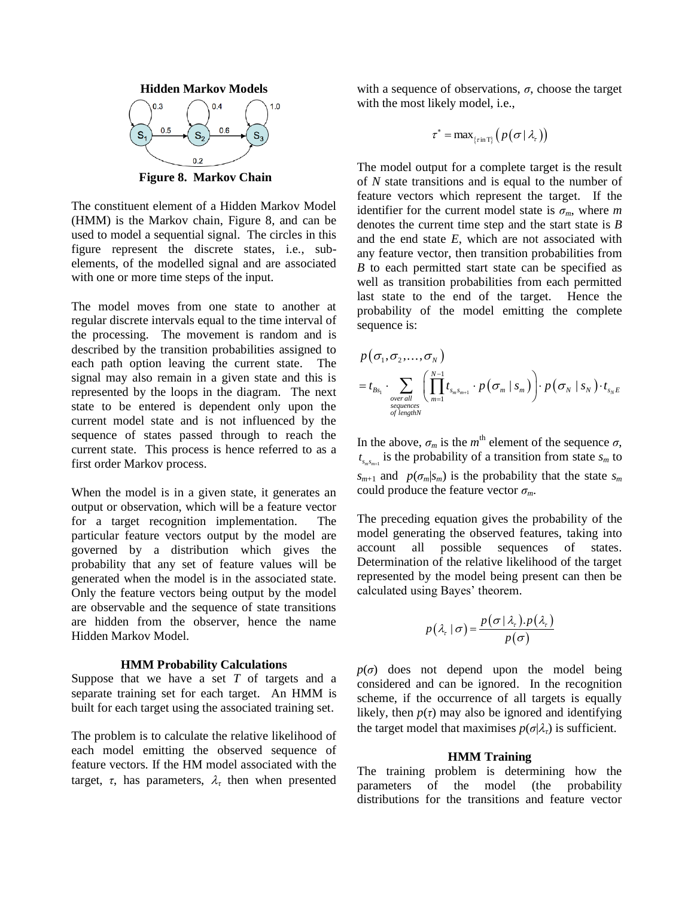

<span id="page-4-0"></span>**Figure 8. Markov Chain**

The constituent element of a Hidden Markov Model (HMM) is the Markov chain, [Figure 8,](#page-4-0) and can be used to model a sequential signal. The circles in this figure represent the discrete states, i.e., subelements, of the modelled signal and are associated with one or more time steps of the input.

The model moves from one state to another at regular discrete intervals equal to the time interval of the processing. The movement is random and is described by the transition probabilities assigned to each path option leaving the current state. The signal may also remain in a given state and this is represented by the loops in the diagram. The next state to be entered is dependent only upon the current model state and is not influenced by the sequence of states passed through to reach the current state. This process is hence referred to as a first order Markov process.

When the model is in a given state, it generates an output or observation, which will be a feature vector for a target recognition implementation. The particular feature vectors output by the model are governed by a distribution which gives the probability that any set of feature values will be generated when the model is in the associated state. Only the feature vectors being output by the model are observable and the sequence of state transitions are hidden from the observer, hence the name Hidden Markov Model.

#### **HMM Probability Calculations**

Suppose that we have a set *T* of targets and a separate training set for each target. An HMM is built for each target using the associated training set.

The problem is to calculate the relative likelihood of each model emitting the observed sequence of feature vectors. If the HM model associated with the target,  $\tau$ , has parameters,  $\lambda_{\tau}$  then when presented with a sequence of observations,  $\sigma$ , choose the target with the most likely model, i.e.,

$$
\tau^* = \max_{\{\tau : \text{in } T\}} \left( p\left(\sigma \,|\, \lambda_{\tau}\right) \right)
$$

The model output for a complete target is the result of *N* state transitions and is equal to the number of feature vectors which represent the target. If the identifier for the current model state is  $\sigma_m$ , where *m* denotes the current time step and the start state is *B* and the end state *E*, which are not associated with any feature vector, then transition probabilities from *B* to each permitted start state can be specified as well as transition probabilities from each permitted last state to the end of the target. Hence the probability of the model emitting the complete sequence is:

$$
p(\sigma_1, \sigma_2, \ldots, \sigma_N)
$$
  
=  $t_{B_{S_1}} \cdot \sum_{\substack{\text{over all} \\ \text{sequences} \\ \text{of length } N}} \left( \prod_{m=1}^{N-1} t_{s_m s_{m+1}} \cdot p(\sigma_m \mid s_m) \right) \cdot p(\sigma_N \mid s_N) \cdot t_{s_N E}$ 

In the above,  $\sigma_m$  is the  $m^{\text{th}}$  element of the sequence  $\sigma$ ,  $t_{s_m s_{m+1}}$  is the probability of a transition from state  $s_m$  to *s*<sub>*m*+1</sub> and *p*( $\sigma_m$ |*s*<sub>*m*</sub>) is the probability that the state *s*<sub>*m*</sub> could produce the feature vector  $\sigma_m$ .

The preceding equation gives the probability of the model generating the observed features, taking into account all possible sequences of states. Determination of the relative likelihood of the target represented by the model being present can then be calculated using Bayes' theorem.

$$
p(\lambda_{r} | \sigma) = \frac{p(\sigma | \lambda_{r}).p(\lambda_{r})}{p(\sigma)}
$$

 $p(\sigma)$  does not depend upon the model being considered and can be ignored. In the recognition scheme, if the occurrence of all targets is equally likely, then  $p(\tau)$  may also be ignored and identifying the target model that maximises  $p(\sigma|\lambda)$  is sufficient.

### **HMM Training**

The training problem is determining how the parameters of the model (the probability distributions for the transitions and feature vector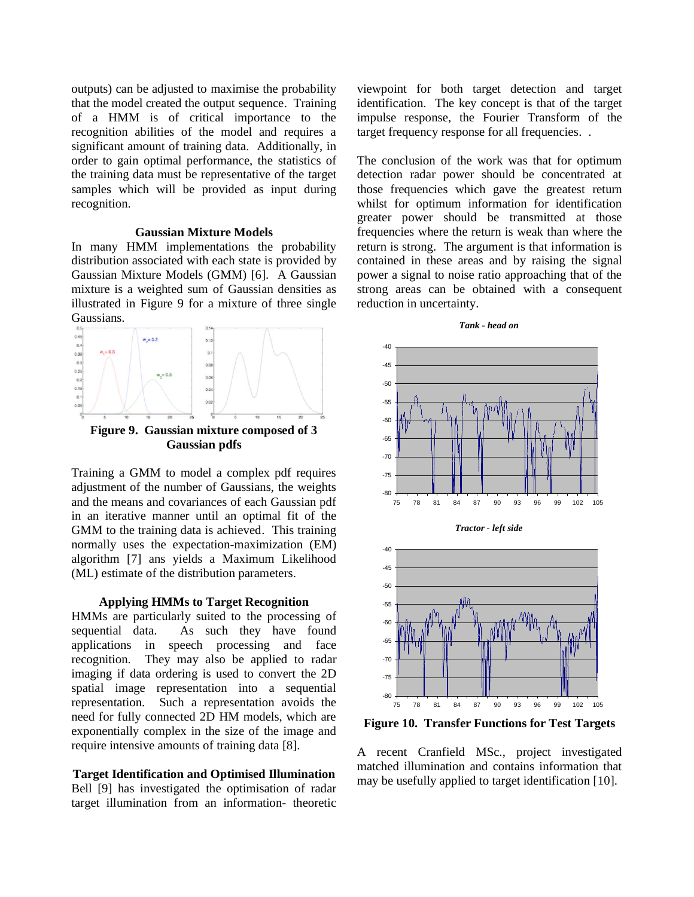outputs) can be adjusted to maximise the probability that the model created the output sequence. Training of a HMM is of critical importance to the recognition abilities of the model and requires a significant amount of training data. Additionally, in order to gain optimal performance, the statistics of the training data must be representative of the target samples which will be provided as input during recognition.

## **Gaussian Mixture Models**

In many HMM implementations the probability distribution associated with each state is provided by Gaussian Mixture Models (GMM) [\[6\]](#page-6-5). A Gaussian mixture is a weighted sum of Gaussian densities as illustrated in [Figure 9](#page-5-0) for a mixture of three single



<span id="page-5-0"></span>Training a GMM to model a complex pdf requires adjustment of the number of Gaussians, the weights and the means and covariances of each Gaussian pdf in an iterative manner until an optimal fit of the GMM to the training data is achieved. This training normally uses the expectation-maximization (EM) algorithm [\[7\]](#page-6-6) ans yields a Maximum Likelihood (ML) estimate of the distribution parameters.

### **Applying HMMs to Target Recognition**

HMMs are particularly suited to the processing of sequential data. As such they have found applications in speech processing and face recognition. They may also be applied to radar imaging if data ordering is used to convert the 2D spatial image representation into a sequential representation. Such a representation avoids the need for fully connected 2D HM models, which are exponentially complex in the size of the image and require intensive amounts of training data [\[8\]](#page-6-7).

## **Target Identification and Optimised Illumination**

Bell [\[9\]](#page-6-8) has investigated the optimisation of radar target illumination from an information- theoretic

viewpoint for both target detection and target identification. The key concept is that of the target impulse response, the Fourier Transform of the target frequency response for all frequencies. .

The conclusion of the work was that for optimum detection radar power should be concentrated at those frequencies which gave the greatest return whilst for optimum information for identification greater power should be transmitted at those frequencies where the return is weak than where the return is strong. The argument is that information is contained in these areas and by raising the signal power a signal to noise ratio approaching that of the strong areas can be obtained with a consequent reduction in uncertainty.





<span id="page-5-1"></span>**Figure 10. Transfer Functions for Test Targets**

A recent Cranfield MSc., project investigated matched illumination and contains information that may be usefully applied to target identification [\[10\]](#page-6-9).

#### *Tank - head on*